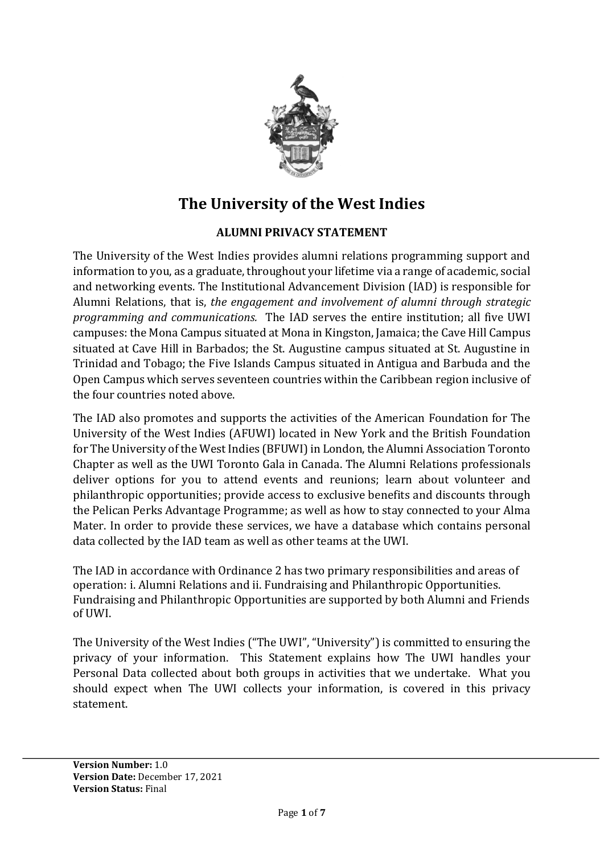

# **The University of the West Indies**

# **ALUMNI PRIVACY STATEMENT**

The University of the West Indies provides alumni relations programming support and information to you, as a graduate, throughout your lifetime via a range of academic, social and networking events. The Institutional Advancement Division (IAD) is responsible for Alumni Relations, that is, *the engagement and involvement of alumni through strategic programming and communications.*The IAD serves the entire institution; all five UWI campuses: the Mona Campus situated at Mona in Kingston, Jamaica; the Cave Hill Campus situated at Cave Hill in Barbados; the St. Augustine campus situated at St. Augustine in Trinidad and Tobago; the Five Islands Campus situated in Antigua and Barbuda and the Open Campus which serves seventeen countries within the Caribbean region inclusive of the four countries noted above.

The IAD also promotes and supports the activities of the American Foundation for The University of the West Indies (AFUWI) located in New York and the British Foundation for The University of the West Indies (BFUWI) in London, the Alumni Association Toronto Chapter as well as the UWI Toronto Gala in Canada. The Alumni Relations professionals deliver options for you to attend events and reunions; learn about volunteer and philanthropic opportunities; provide access to exclusive benefits and discounts through the Pelican Perks Advantage Programme; as well as how to stay connected to your Alma Mater. In order to provide these services, we have a database which contains personal data collected by the IAD team as well as other teams at the UWI.

The IAD in accordance with Ordinance 2 has two primary responsibilities and areas of operation: i. Alumni Relations and ii. Fundraising and Philanthropic Opportunities. Fundraising and Philanthropic Opportunities are supported by both Alumni and Friends of UWI.

The University of the West Indies ("The UWI", "University") is committed to ensuring the privacy of your information. This Statement explains how The UWI handles your [Personal Data](http://www.arcs.qmul.ac.uk/governance/information-governance/data-protection/dp-glossary/) collected about both groups in activities that we undertake. What you should expect when The UWI collects your information, is covered in this privacy statement.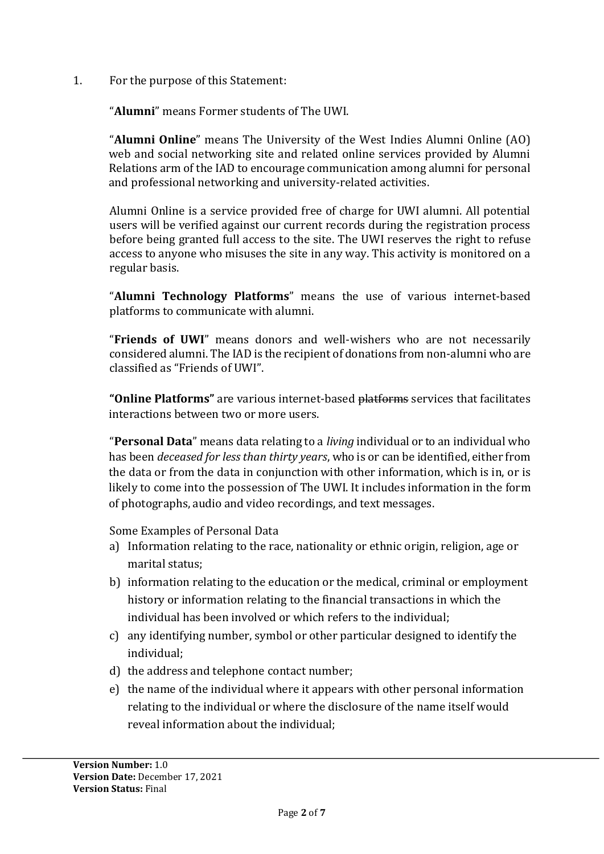1. For the purpose of this Statement:

"**Alumni**" means Former students of The UWI.

"**Alumni Online**" means The University of the West Indies Alumni Online (AO) web and social networking site and related online services provided by Alumni Relations arm of the IAD to encourage communication among alumni for personal and professional networking and university-related activities.

Alumni Online is a service provided free of charge for UWI alumni. All potential users will be verified against our current records during the registration process before being granted full access to the site. The UWI reserves the right to refuse access to anyone who misuses the site in any way. This activity is monitored on a regular basis.

"**Alumni Technology Platforms**" means the use of various internet-based platforms to communicate with alumni.

"**Friends of UWI**" means donors and well-wishers who are not necessarily considered alumni. The IAD is the recipient of donations from non-alumni who are classified as "Friends of UWI".

**"Online Platforms"** are various internet-based platforms services that facilitates interactions between two or more users.

"**Personal Data**" means data relating to a *living* individual or to an individual who has been *deceased for less than thirty years*, who is or can be identified, either from the data or from the data in conjunction with other information, which is in, or is likely to come into the possession of The UWI. It includes information in the form of photographs, audio and video recordings, and text messages.

Some Examples of Personal Data

- a) Information relating to the race, nationality or ethnic origin, religion, age or marital status;
- b) information relating to the education or the medical, criminal or employment history or information relating to the financial transactions in which the individual has been involved or which refers to the individual;
- c) any identifying number, symbol or other particular designed to identify the individual;
- d) the address and telephone contact number;
- e) the name of the individual where it appears with other personal information relating to the individual or where the disclosure of the name itself would reveal information about the individual;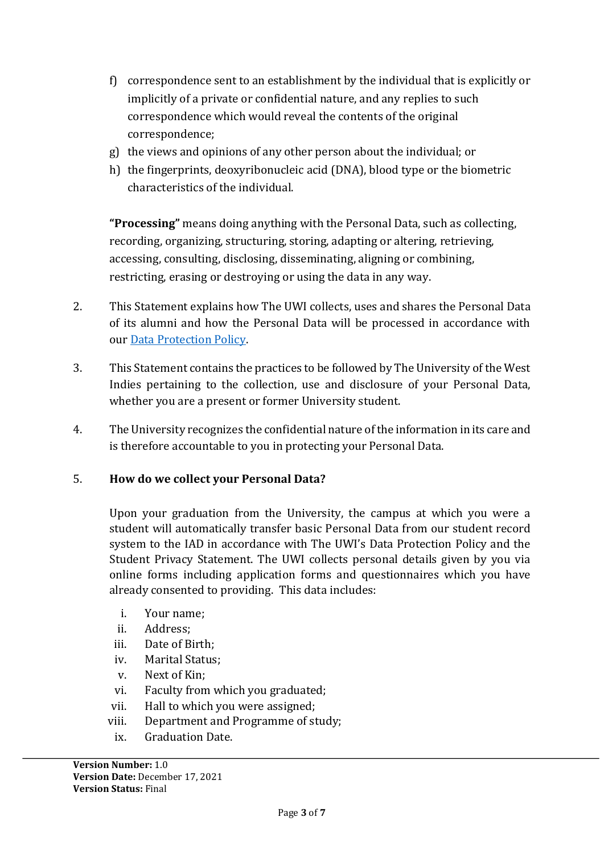- f) correspondence sent to an establishment by the individual that is explicitly or implicitly of a private or confidential nature, and any replies to such correspondence which would reveal the contents of the original correspondence;
- g) the views and opinions of any other person about the individual; or
- h) the fingerprints, deoxyribonucleic acid (DNA), blood type or the biometric characteristics of the individual.

**"Processing"** means doing anything with the Personal Data, such as collecting, recording, organizing, structuring, storing, adapting or altering, retrieving, accessing, consulting, disclosing, disseminating, aligning or combining, restricting, erasing or destroying or using the data in any way.

- 2. This Statement explains how The UWI collects, uses and shares the Personal Data of its alumni and how the Personal Data will be processed in accordance with our [Data Protection Policy.](https://uwi.edu/archives/sites/archives/files/UARMP%20Policy.pdf)
- 3. This Statement contains the practices to be followed by The University of the West Indies pertaining to the collection, use and disclosure of your Personal Data, whether you are a present or former University student.
- 4. The University recognizes the confidential nature of the information in its care and is therefore accountable to you in protecting your Personal Data.

# 5. **How do we collect your Personal Data?**

Upon your graduation from the University, the campus at which you were a student will automatically transfer basic Personal Data from our student record system to the IAD in accordance with The UWI's Data Protection Policy and the Student Privacy Statement. The UWI collects personal details given by you via online forms including application forms and questionnaires which you have already consented to providing. This data includes:

- i. Your name;
- ii. Address;
- iii. Date of Birth;
- iv. Marital Status;
- v. Next of Kin;
- vi. Faculty from which you graduated;
- vii. Hall to which you were assigned;
- viii. Department and Programme of study;
	- ix. Graduation Date.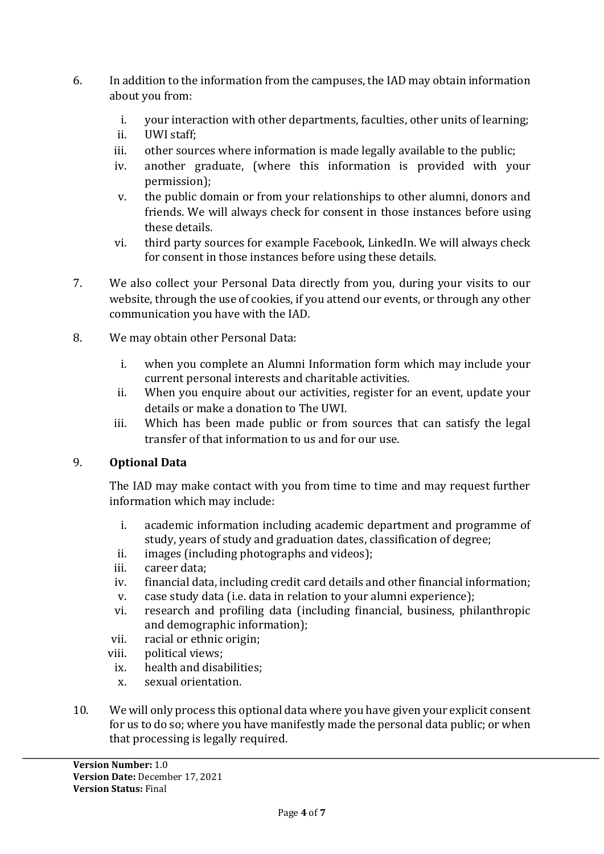- 6. In addition to the information from the campuses, the IAD may obtain information about you from:
	- i. your interaction with other departments, faculties, other units of learning;
	- ii. UWI staff;
	- iii. other sources where information is made legally available to the public;
	- iv. another graduate, (where this information is provided with your permission);
	- v. the public domain or from your relationships to other alumni, donors and friends. We will always check for consent in those instances before using these details.
	- vi. third party sources for example Facebook, LinkedIn. We will always check for consent in those instances before using these details.
- 7. We also collect your Personal Data directly from you, during your visits to our website, through the use of cookies, if you attend our events, or through any other communication you have with the IAD.
- 8. We may obtain other Personal Data:
	- i. when you complete an Alumni Information form which may include your current personal interests and charitable activities.
	- ii. When you enquire about our activities, register for an event, update your details or make a donation to The UWI.
	- iii. Which has been made public or from sources that can satisfy the legal transfer of that information to us and for our use.

# 9. **Optional Data**

The IAD may make contact with you from time to time and may request further information which may include:

- i. academic information including academic department and programme of study, years of study and graduation dates, classification of degree;
- ii. images (including photographs and videos);
- iii. career data;
- iv. financial data, including credit card details and other financial information;
- v. case study data (i.e. data in relation to your alumni experience);
- vi. research and profiling data (including financial, business, philanthropic and demographic information);
- vii. racial or ethnic origin;
- viii. political views;
	- ix. health and disabilities;
	- x. sexual orientation.
- 10. We will only process this optional data where you have given your explicit consent for us to do so; where you have manifestly made the personal data public; or when that processing is legally required.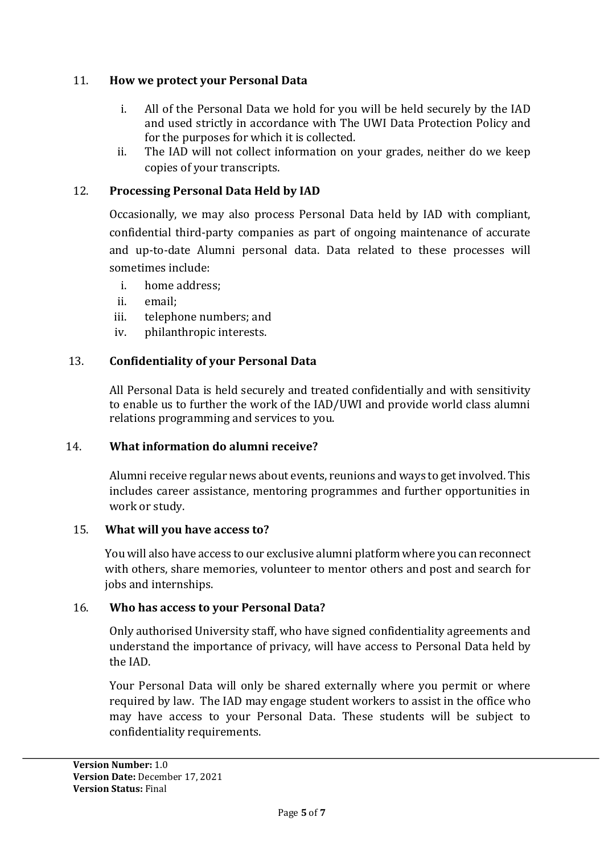# 11. **How we protect your Personal Data**

- i. All of the Personal Data we hold for you will be held securely by the IAD and used strictly in accordance with The UWI Data Protection Policy and for the purposes for which it is collected.
- ii. The IAD will not collect information on your grades, neither do we keep copies of your transcripts.

## 12. **Processing Personal Data Held by IAD**

Occasionally, we may also process Personal Data held by IAD with compliant, confidential third-party companies as part of ongoing maintenance of accurate and up-to-date Alumni personal data. Data related to these processes will sometimes include:

- i. home address;
- ii. email;
- iii. telephone numbers; and
- iv. philanthropic interests.

## 13. **Confidentiality of your Personal Data**

All Personal Data is held securely and treated confidentially and with sensitivity to enable us to further the work of the IAD/UWI and provide world class alumni relations programming and services to you.

## 14. **What information do alumni receive?**

Alumni receive regular news about events, reunions and ways to get involved. This includes career assistance, mentoring programmes and further opportunities in work or study.

#### 15. **What will you have access to?**

You will also have access to our exclusive alumni platform where you can reconnect with others, share memories, volunteer to mentor others and post and search for jobs and internships.

## 16. **Who has access to your Personal Data?**

Only authorised University staff, who have signed confidentiality agreements and understand the importance of privacy, will have access to Personal Data held by the IAD.

Your Personal Data will only be shared externally where you permit or where required by law. The IAD may engage student workers to assist in the office who may have access to your Personal Data. These students will be subject to confidentiality requirements.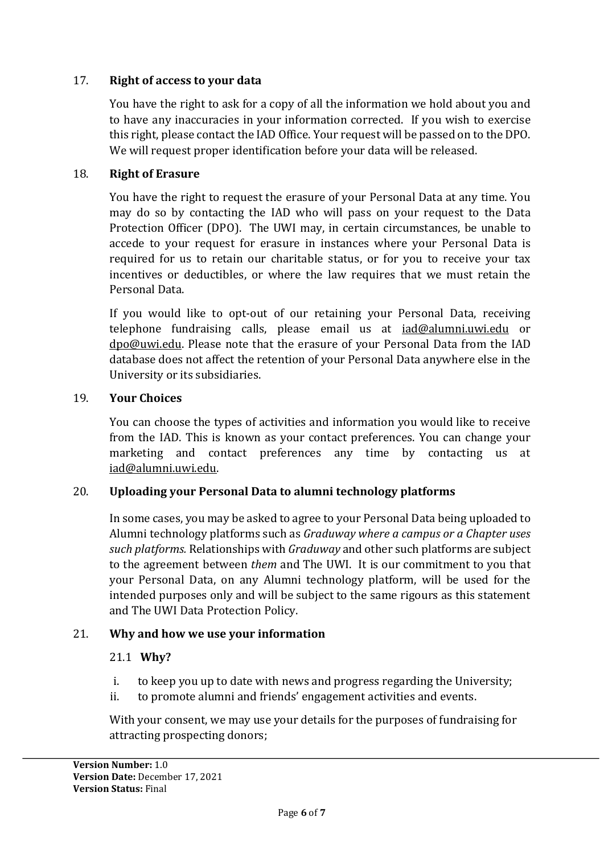# 17. **Right of access to your data**

You have the right to ask for a copy of all the information we hold about you and to have any inaccuracies in your information corrected. If you wish to exercise this right, please contact the IAD Office. Your request will be passed on to the DPO. We will request proper identification before your data will be released.

## 18. **Right of Erasure**

You have the right to request the erasure of your Personal Data at any time. You may do so by contacting the IAD who will pass on your request to the Data Protection Officer (DPO). The UWI may, in certain circumstances, be unable to accede to your request for erasure in instances where your Personal Data is required for us to retain our charitable status, or for you to receive your tax incentives or deductibles, or where the law requires that we must retain the Personal Data.

If you would like to opt-out of our retaining your Personal Data, receiving telephone fundraising calls, please email us at [iad@alumni.uwi.edu](mailto:iad@alumni.uwi.edu) or [dpo@uwi.edu.](mailto:dpo@uwimona.edu) Please note that the erasure of your Personal Data from the IAD database does not affect the retention of your Personal Data anywhere else in the University or its subsidiaries.

## 19. **Your Choices**

You can choose the types of activities and information you would like to receive from the IAD. This is known as your contact preferences. You can change your marketing and contact preferences any time by contacting us at [iad@alumni.uwi.edu.](mailto:dpo@uwimona.edu)

# 20. **Uploading your Personal Data to alumni technology platforms**

In some cases, you may be asked to agree to your Personal Data being uploaded to Alumni technology platforms such as *Graduway where a campus or a Chapter uses such platforms.* Relationships with *Graduway* and other such platforms are subject to the agreement between *them* and The UWI. It is our commitment to you that your Personal Data, on any Alumni technology platform, will be used for the intended purposes only and will be subject to the same rigours as this statement and The UWI Data Protection Policy.

## 21. **Why and how we use your information**

## 21.1 **Why?**

- i. to keep you up to date with news and progress regarding the University;
- ii. to promote alumni and friends' engagement activities and events.

With your consent, we may use your details for the purposes of fundraising for attracting prospecting donors;